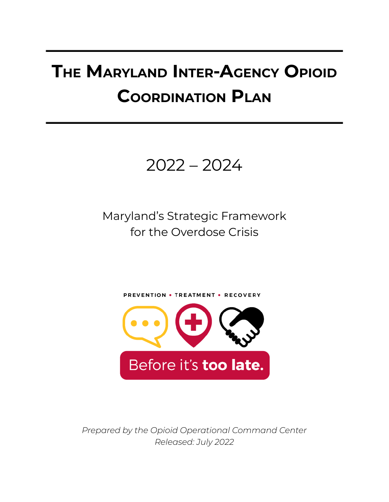# **THE MARYLAND INTER-AGENCY OPIOID COORDINATION PLAN**



Maryland's Strategic Framework for the Overdose Crisis



*Prepared by the Opioid Operational Command Center Released: July 2022*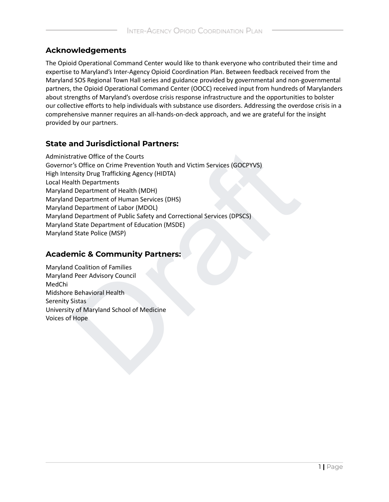#### **Acknowledgements**

The Opioid Operational Command Center would like to thank everyone who contributed their time and expertise to Maryland's Inter-Agency Opioid Coordination Plan. Between feedback received from the Maryland SOS Regional Town Hall series and guidance provided by governmental and non-governmental partners, the Opioid Operational Command Center (OOCC) received input from hundreds of Marylanders about strengths of Maryland's overdose crisis response infrastructure and the opportunities to bolster our collective efforts to help individuals with substance use disorders. Addressing the overdose crisis in a comprehensive manner requires an all-hands-on-deck approach, and we are grateful for the insight provided by our partners.

#### **State and Jurisdictional Partners:**

and and anti-controller the Courts<br>
rative Office of the Courts<br>
rative Office of the Courts<br>
rs Office on Crime Prevention Youth and Victim Services (GOCPYVS)<br>
all Department of Health (MDH)<br>
d Department of Human Service Administrative Office of the Courts Governor's Office on Crime Prevention Youth and Victim Services (GOCPYVS) High Intensity Drug Trafficking Agency (HIDTA) Local Health Departments Maryland Department of Health (MDH) Maryland Department of Human Services (DHS) Maryland Department of Labor (MDOL) Maryland Department of Public Safety and Correctional Services (DPSCS) Maryland State Department of Education (MSDE) Maryland State Police (MSP)

#### **Academic & Community Partners:**

Maryland Coalition of Families Maryland Peer Advisory Council MedChi Midshore Behavioral Health Serenity Sistas University of Maryland School of Medicine Voices of Hope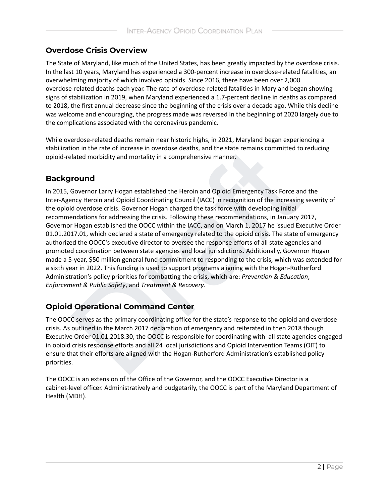#### **Overdose Crisis Overview**

The State of Maryland, like much of the United States, has been greatly impacted by the overdose crisis. In the last 10 years, Maryland has experienced a 300-percent increase in overdose-related fatalities, an overwhelming majority of which involved opioids. Since 2016, there have been over 2,000 overdose-related deaths each year. The rate of overdose-related fatalities in Maryland began showing signs of stabilization in 2019, when Maryland experienced a 1.7-percent decline in deaths as compared to 2018, the first annual decrease since the beginning of the crisis over a decade ago. While this decline was welcome and encouraging, the progress made was reversed in the beginning of 2020 largely due to the complications associated with the coronavirus pandemic.

While overdose-related deaths remain near historic highs, in 2021, Maryland began experiencing a stabilization in the rate of increase in overdose deaths, and the state remains committed to reducing opioid-related morbidity and mortality in a comprehensive manner.

#### **Background**

ion in the rate of increase in overdose deaths, and the state remains committed to reducial<br>ated morbidity and mortality in a comprehensive manner.<br> **ITOUNIC**<br>
Governor Larry Hogan established the Heroin and Opioid Emergen In 2015, Governor Larry Hogan established the Heroin and Opioid Emergency Task Force and the Inter-Agency Heroin and Opioid Coordinating Council (IACC) in recognition of the increasing severity of the opioid overdose crisis. Governor Hogan charged the task force with developing initial recommendations for addressing the crisis. Following these recommendations, in January 2017, Governor Hogan established the OOCC within the IACC, and on March 1, 2017 he issued Executive Order 01.01.2017.01, which declared a state of emergency related to the opioid crisis. The state of emergency authorized the OOCC's executive director to oversee the response efforts of all state agencies and promoted coordination between state agencies and local jurisdictions. Additionally, Governor Hogan made a 5-year, \$50 million general fund commitment to responding to the crisis, which was extended for a sixth year in 2022. This funding is used to support programs aligning with the Hogan-Rutherford Administration's policy priorities for combatting the crisis, which are: *Prevention & Education*, *Enforcement & Public Safety*, and *Treatment & Recovery*.

### **Opioid Operational Command Center**

The OOCC serves as the primary coordinating office for the state's response to the opioid and overdose crisis. As outlined in the March 2017 declaration of emergency and reiterated in then 2018 though Executive Order 01.01.2018.30, the OOCC is responsible for coordinating with all state agencies engaged in opioid crisis response efforts and all 24 local jurisdictions and Opioid Intervention Teams (OIT) to ensure that their efforts are aligned with the Hogan-Rutherford Administration's established policy priorities.

The OOCC is an extension of the Office of the Governor, and the OOCC Executive Director is a cabinet-level officer. Administratively and budgetarily, the OOCC is part of the Maryland Department of Health (MDH).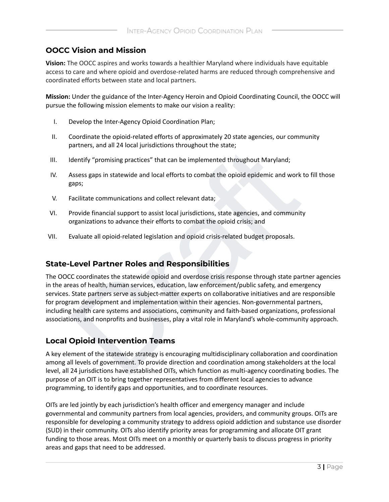#### **OOCC Vision and Mission**

**Vision:** The OOCC aspires and works towards a healthier Maryland where individuals have equitable access to care and where opioid and overdose-related harms are reduced through comprehensive and coordinated efforts between state and local partners.

**Mission:** Under the guidance of the Inter-Agency Heroin and Opioid Coordinating Council, the OOCC will pursue the following mission elements to make our vision a reality:

- I. Develop the Inter-Agency Opioid Coordination Plan;
- II. Coordinate the opioid-related efforts of approximately 20 state agencies, our community partners, and all 24 local jurisdictions throughout the state;
- III. Identify "promising practices" that can be implemented throughout Maryland;
- IV. Assess gaps in statewide and local efforts to combat the opioid epidemic and work to fill those gaps;
- V. Facilitate communications and collect relevant data;
- VI. Provide financial support to assist local jurisdictions, state agencies, and community organizations to advance their efforts to combat the opioid crisis; and
- VII. Evaluate all opioid-related legislation and opioid crisis-related budget proposals.

#### **State-Level Partner Roles and Responsibilities**

partiers, and an 24 iocal parisolicitons unoughout the state,<br>dentify "promising practices" that can be implemented throughout Maryland;<br>Assess gaps in statewide and local efforts to combat the opioid epidemic and work to The OOCC coordinates the statewide opioid and overdose crisis response through state partner agencies in the areas of health, human services, education, law enforcement/public safety, and emergency services. State partners serve as subject-matter experts on collaborative initiatives and are responsible for program development and implementation within their agencies. Non-governmental partners, including health care systems and associations, community and faith-based organizations, professional associations, and nonprofits and businesses, play a vital role in Maryland's whole-community approach.

#### **Local Opioid Intervention Teams**

A key element of the statewide strategy is encouraging multidisciplinary collaboration and coordination among all levels of government. To provide direction and coordination among stakeholders at the local level, all 24 jurisdictions have established OITs, which function as multi-agency coordinating bodies. The purpose of an OIT is to bring together representatives from different local agencies to advance programming, to identify gaps and opportunities, and to coordinate resources.

OITs are led jointly by each jurisdiction's health officer and emergency manager and include governmental and community partners from local agencies, providers, and community groups. OITs are responsible for developing a community strategy to address opioid addiction and substance use disorder (SUD) in their community. OITs also identify priority areas for programming and allocate OIT grant funding to those areas. Most OITs meet on a monthly or quarterly basis to discuss progress in priority areas and gaps that need to be addressed.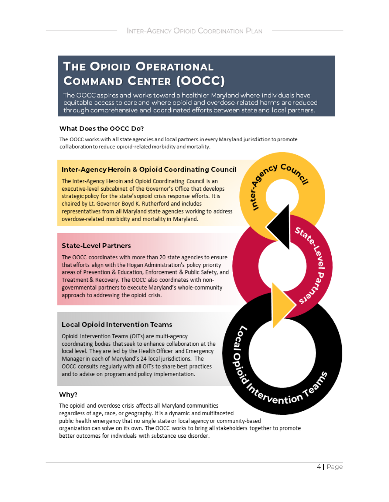# **THE OPIOID OPERATIONAL COMMAND CENTER (OOCC)**

The OOCC aspires and works toward a healthier Maryland where individuals have equitable access to care and where opioid and overdose-related harms are reduced through comprehensive and coordinated efforts between state and local partners.

#### What Does the OOCC Do?

The OOCC works with all state agencies and local partners in every Maryland jurisdiction to promote

aboration to reduce opioid-related morbidity and mortality.<br>
Leter-Agency Heroin and Opioid Coordinating Council<br>
Linter-Agency Heroin and Opioid Coordinating Council<br>
Linter-Agency Heroin and Opioid Coordinating Council<br>

#### Why?

The opioid and overdose crisis affects all Maryland communities regardless of age, race, or geography. It is a dynamic and multifaceted public health emergency that no single state or local agency or community-based organization can solve on its own. The OOCC works to bring all stakeholders together to promote better outcomes for individuals with substance use disorder.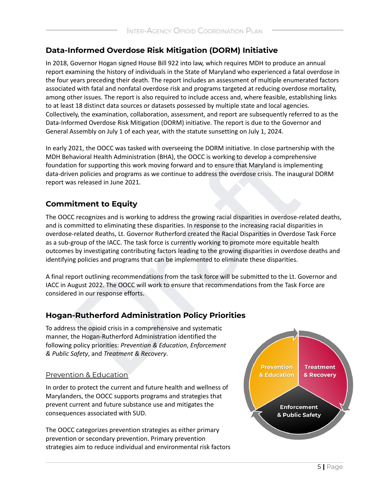### **Data-Informed Overdose Risk Mitigation (DORM) Initiative**

In 2018, Governor Hogan signed House Bill 922 into law, which requires MDH to produce an annual report examining the history of individuals in the State of Maryland who experienced a fatal overdose in the four years preceding their death. The report includes an assessment of multiple enumerated factors associated with fatal and nonfatal overdose risk and programs targeted at reducing overdose mortality, among other issues. The report is also required to include access and, where feasible, establishing links to at least 18 distinct data sources or datasets possessed by multiple state and local agencies. Collectively, the examination, collaboration, assessment, and report are subsequently referred to as the Data-Informed Overdose Risk Mitigation (DORM) initiative. The report is due to the Governor and General Assembly on July 1 of each year, with the statute sunsetting on July 1, 2024.

In early 2021, the OOCC was tasked with overseeing the DORM initiative. In close partnership with the MDH Behavioral Health Administration (BHA), the OOCC is working to develop a comprehensive foundation for supporting this work moving forward and to ensure that Maryland is implementing data-driven policies and programs as we continue to address the overdose crisis. The inaugural DORM report was released in June 2021.

### **Commitment to Equity**

2021, the OOCC was tasked with overseeing the DORM initiative. In close partnership with<br>
ahavioral Health Administation (BHA), the OOCC is working to develop a comprehensive<br>
non for supporting this work moving forward an The OOCC recognizes and is working to address the growing racial disparities in overdose-related deaths, and is committed to eliminating these disparities. In response to the increasing racial disparities in overdose-related deaths, Lt. Governor Rutherford created the Racial Disparities in Overdose Task Force as a sub-group of the IACC. The task force is currently working to promote more equitable health outcomes by investigating contributing factors leading to the growing disparities in overdose deaths and identifying policies and programs that can be implemented to eliminate these disparities.

A final report outlining recommendations from the task force will be submitted to the Lt. Governor and IACC in August 2022. The OOCC will work to ensure that recommendations from the Task Force are considered in our response efforts.

### **Hogan-Rutherford Administration Policy Priorities**

To address the opioid crisis in a comprehensive and systematic manner, the Hogan-Rutherford Administration identified the following policy priorities: *Prevention & Education*, *Enforcement & Public Safety*, and *Treatment & Recovery*.

#### Prevention & Education

In order to protect the current and future health and wellness of Marylanders, the OOCC supports programs and strategies that prevent current and future substance use and mitigates the consequences associated with SUD.

The OOCC categorizes prevention strategies as either primary prevention or secondary prevention. Primary prevention strategies aim to reduce individual and environmental risk factors

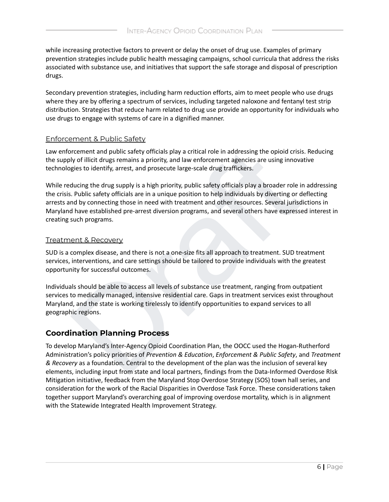while increasing protective factors to prevent or delay the onset of drug use. Examples of primary prevention strategies include public health messaging campaigns, school curricula that address the risks associated with substance use, and initiatives that support the safe storage and disposal of prescription drugs.

Secondary prevention strategies, including harm reduction efforts, aim to meet people who use drugs where they are by offering a spectrum of services, including targeted naloxone and fentanyl test strip distribution. Strategies that reduce harm related to drug use provide an opportunity for individuals who use drugs to engage with systems of care in a dignified manner.

#### Enforcement & Public Safety

Law enforcement and public safety officials play a critical role in addressing the opioid crisis. Reducing the supply of illicit drugs remains a priority, and law enforcement agencies are using innovative technologies to identify, arrest, and prosecute large-scale drug traffickers.

procement and public safety officials play a critical role in addressing the opioid crisis. Reduyly of illicit drugs remains a priority, and law enforcement agencies are using innovative<br>giels to identify, arret, and prose While reducing the drug supply is a high priority, public safety officials play a broader role in addressing the crisis. Public safety officials are in a unique position to help individuals by diverting or deflecting arrests and by connecting those in need with treatment and other resources. Several jurisdictions in Maryland have established pre-arrest diversion programs, and several others have expressed interest in creating such programs.

#### Treatment & Recovery

SUD is a complex disease, and there is not a one-size fits all approach to treatment. SUD treatment services, interventions, and care settings should be tailored to provide individuals with the greatest opportunity for successful outcomes.

Individuals should be able to access all levels of substance use treatment, ranging from outpatient services to medically managed, intensive residential care. Gaps in treatment services exist throughout Maryland, and the state is working tirelessly to identify opportunities to expand services to all geographic regions.

#### **Coordination Planning Process**

To develop Maryland's Inter-Agency Opioid Coordination Plan, the OOCC used the Hogan-Rutherford Administration's policy priorities of *Prevention & Education*, *Enforcement & Public Safety*, and *Treatment & Recovery* as a foundation. Central to the development of the plan was the inclusion of several key elements, including input from state and local partners, findings from the Data-Informed Overdose RIsk Mitigation initiative, feedback from the Maryland Stop Overdose Strategy (SOS) town hall series, and consideration for the work of the Racial Disparities in Overdose Task Force. These considerations taken together support Maryland's overarching goal of improving overdose mortality, which is in alignment with the Statewide Integrated Health Improvement Strategy.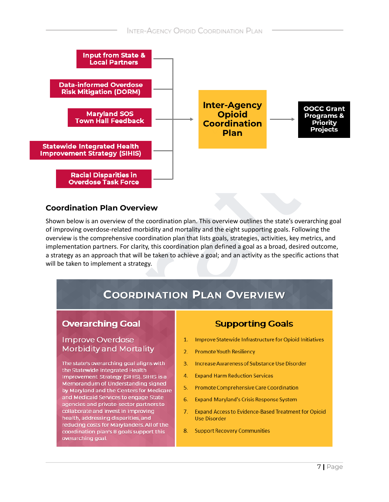

#### Coordination Plan Overview

**Racial Disparities in**<br> **COVER CONSERVER CONSERVENTS**<br>
The state of our side of the coordination plan. This overview outlines the state's outling overdose-related morbidity and mortality and the eight supporting goals. Fo Shown below is an overview of the cod of improving overdose-related morbidity and mortality and the eight supporting goals. Following the overview is the comprehensive coordination plan that lists goals, strategies, activities, key metrics, and implementation partners. For clarity, this coordination plan defined a goal as a broad, desired outcome, a strategy as an approach that will be taken to achieve a goal; and an activity as the specific actions that will be taken to implement a strategy.

Memorandum of Understanding signed by Maryland and the Centers for Medicare and Medicaid Services to engage State agencies and private-sector partners to collaborate and invest in improving health, addressing disparities, and reducing costs for Marylanders. All of the coordination plan's 8 goals support this overarching goal.

- 
- 
- 
- 
- 5. Promote Comprehensive Care Coordination
- 6. Expand Maryland's Crisis Response System
- 7. Expand Access to Evidence-Based Treatment for Opioid **Use Disorder**
- 8. Support Recovery Communities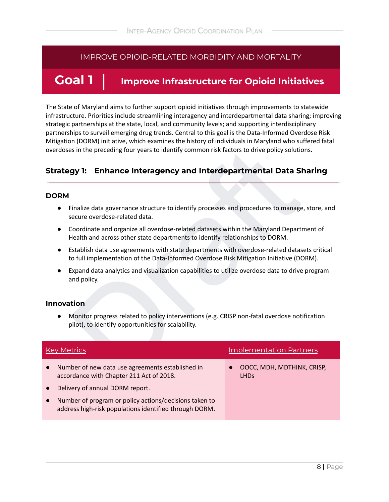## **Goal 1 Improve Infrastructure for Opioid Initiatives**

The State of Maryland aims to further support opioid initiatives through improvements to statewide infrastructure. Priorities include streamlining interagency and interdepartmental data sharing; improving strategic partnerships at the state, local, and community levels; and supporting interdisciplinary partnerships to surveil emerging drug trends. Central to this goal is the Data-Informed Overdose Risk Mitigation (DORM) initiative, which examines the history of individuals in Maryland who suffered fatal overdoses in the preceding four years to identify common risk factors to drive policy solutions.

#### **Strategy 1: Enhance Interagency and Interdepartmental Data Sharing**

#### **DORM**

- Finalize data governance structure to identify processes and procedures to manage, store, and secure overdose-related data.
- Coordinate and organize all overdose-related datasets within the Maryland Department of Health and across other state departments to identify relationships to DORM.
- Establish data use agreements with state departments with overdose-related datasets critical to full implementation of the Data-Informed Overdose Risk Mitigation Initiative (DORM).
- Expand data analytics and visualization capabilities to utilize overdose data to drive program and policy.

#### **Innovation**

|           | overdoses in the preceding four years to identify common risk factors to drive policy solutions.                                                                                                     |                                           |
|-----------|------------------------------------------------------------------------------------------------------------------------------------------------------------------------------------------------------|-------------------------------------------|
|           | <b>Enhance Interagency and Interdepartmental Data Sharing</b><br><b>Strategy 1:</b>                                                                                                                  |                                           |
|           | <b>DORM</b>                                                                                                                                                                                          |                                           |
|           | Finalize data governance structure to identify processes and procedures to manage, store, and<br>secure overdose-related data.                                                                       |                                           |
|           | Coordinate and organize all overdose-related datasets within the Maryland Department of<br>$\bullet$<br>Health and across other state departments to identify relationships to DORM.                 |                                           |
|           | Establish data use agreements with state departments with overdose-related datasets critical<br>$\bullet$<br>to full implementation of the Data-Informed Overdose Risk Mitigation Initiative (DORM). |                                           |
|           | Expand data analytics and visualization capabilities to utilize overdose data to drive program<br>and policy.                                                                                        |                                           |
|           | <b>Innovation</b>                                                                                                                                                                                    |                                           |
|           | Monitor progress related to policy interventions (e.g. CRISP non-fatal overdose notification<br>pilot), to identify opportunities for scalability.                                                   |                                           |
|           |                                                                                                                                                                                                      |                                           |
|           | <b>Key Metrics</b>                                                                                                                                                                                   | <b>Implementation Partners</b>            |
| $\bullet$ | Number of new data use agreements established in<br>accordance with Chapter 211 Act of 2018.                                                                                                         | OOCC, MDH, MDTHINK, CRISP,<br><b>LHDs</b> |
| $\bullet$ | Delivery of annual DORM report.                                                                                                                                                                      |                                           |
|           | Number of program or policy actions/decisions taken to<br>address high-risk populations identified through DORM.                                                                                     |                                           |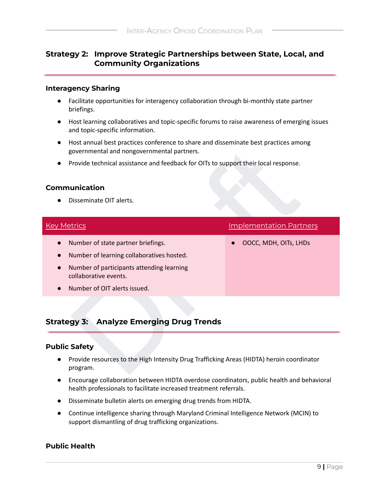#### **Strategy 2: Improve Strategic Partnerships between State, Local, and Community Organizations**

#### **Interagency Sharing**

- Facilitate opportunities for interagency collaboration through bi-monthly state partner briefings.
- Host learning collaboratives and topic-specific forums to raise awareness of emerging issues and topic-specific information.
- Host annual best practices conference to share and disseminate best practices among governmental and nongovernmental partners.
- Provide technical assistance and feedback for OITs to support their local response.

#### **Communication**

| governmental and nongovernmental partners.                                                                                                                                                                                   |                                |  |  |  |
|------------------------------------------------------------------------------------------------------------------------------------------------------------------------------------------------------------------------------|--------------------------------|--|--|--|
| Provide technical assistance and feedback for OITs to support their local response.                                                                                                                                          |                                |  |  |  |
| <b>Communication</b><br>Disseminate OIT alerts.                                                                                                                                                                              |                                |  |  |  |
| <b>Key Metrics</b>                                                                                                                                                                                                           | <b>Implementation Partners</b> |  |  |  |
| Number of state partner briefings.<br>$\bullet$<br>Number of learning collaboratives hosted.<br>$\bullet$<br>Number of participants attending learning<br>collaborative events.<br>Number of OIT alerts issued.<br>$\bullet$ | OOCC, MDH, OITs, LHDs          |  |  |  |
| <b>Strategy 3: Analyze Emerging Drug Trends</b>                                                                                                                                                                              |                                |  |  |  |
| <b>Public Safety</b><br>Provide resources to the High Intensity Drug Trafficking Areas (HIDTA) heroin coordinator<br>program.                                                                                                |                                |  |  |  |

### **Strategy 3: Analyze Emerging Drug Trends**

#### **Public Safety**

- Provide resources to the High Intensity Drug Trafficking Areas (HIDTA) heroin coordinator program.
- Encourage collaboration between HIDTA overdose coordinators, public health and behavioral health professionals to facilitate increased treatment referrals.
- Disseminate bulletin alerts on emerging drug trends from HIDTA.
- Continue intelligence sharing through Maryland Criminal Intelligence Network (MCIN) to support dismantling of drug trafficking organizations.

#### **Public Health**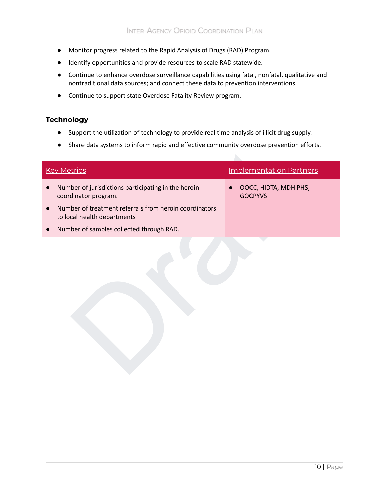- Monitor progress related to the Rapid Analysis of Drugs (RAD) Program.
- Identify opportunities and provide resources to scale RAD statewide.
- Continue to enhance overdose surveillance capabilities using fatal, nonfatal, qualitative and nontraditional data sources; and connect these data to prevention interventions.
- Continue to support state Overdose Fatality Review program.

#### **Technology**

- Support the utilization of technology to provide real time analysis of illicit drug supply.
- Share data systems to inform rapid and effective community overdose prevention efforts.

| Share data systems to imorni rapid and enective community overdose prevention enorts. |                                         |
|---------------------------------------------------------------------------------------|-----------------------------------------|
| <b>Key Metrics</b>                                                                    | <b>Implementation Partners</b>          |
| Number of jurisdictions participating in the heroin<br>coordinator program.           | OOCC, HIDTA, MDH PHS,<br><b>GOCPYVS</b> |
| Number of treatment referrals from heroin coordinators<br>to local health departments |                                         |
| Number of samples collected through RAD.                                              |                                         |
|                                                                                       |                                         |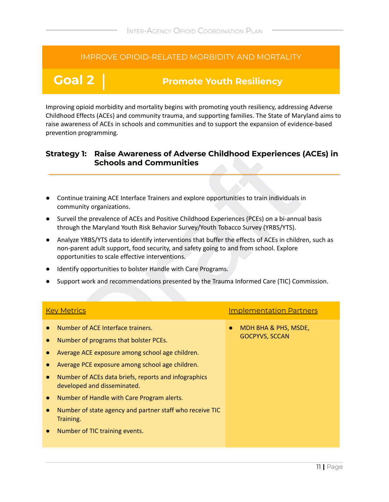# **Goal 2 Promote Youth Resiliency**

Improving opioid morbidity and mortality begins with promoting youth resiliency, addressing Adverse Childhood Effects (ACEs) and community trauma, and supporting families. The State of Maryland aims to raise awareness of ACEs in schools and communities and to support the expansion of evidence-based prevention programming.

#### **Strategy 1: Raise Awareness of Adverse Childhood Experiences (ACEs) in Schools and Communities**

- Continue training ACE Interface Trainers and explore opportunities to train individuals in community organizations.
- Surveil the prevalence of ACEs and Positive Childhood Experiences (PCEs) on a bi-annual basis through the Maryland Youth Risk Behavior Survey/Youth Tobacco Survey (YRBS/YTS).
- Analyze YRBS/YTS data to identify interventions that buffer the effects of ACEs in children, such as non-parent adult support, food security, and safety going to and from school. Explore opportunities to scale effective interventions.
- Identify opportunities to bolster Handle with Care Programs.
- Support work and recommendations presented by the Trauma Informed Care (TIC) Commission.

| <b>Raise Awareness of Adverse Childhood Experiences (ACEs) in</b><br><b>Strategy 1:</b><br><b>Schools and Communities</b>                                                                                                                        |                                |  |
|--------------------------------------------------------------------------------------------------------------------------------------------------------------------------------------------------------------------------------------------------|--------------------------------|--|
|                                                                                                                                                                                                                                                  |                                |  |
| Continue training ACE Interface Trainers and explore opportunities to train individuals in<br>community organizations.                                                                                                                           |                                |  |
| Surveil the prevalence of ACEs and Positive Childhood Experiences (PCEs) on a bi-annual basis<br>through the Maryland Youth Risk Behavior Survey/Youth Tobacco Survey (YRBS/YTS).                                                                |                                |  |
| Analyze YRBS/YTS data to identify interventions that buffer the effects of ACEs in children, such as<br>non-parent adult support, food security, and safety going to and from school. Explore<br>opportunities to scale effective interventions. |                                |  |
| Identify opportunities to bolster Handle with Care Programs.                                                                                                                                                                                     |                                |  |
| Support work and recommendations presented by the Trauma Informed Care (TIC) Commission.                                                                                                                                                         |                                |  |
|                                                                                                                                                                                                                                                  |                                |  |
| <b>Key Metrics</b>                                                                                                                                                                                                                               | <b>Implementation Partners</b> |  |
| Number of ACE Interface trainers.                                                                                                                                                                                                                | MDH BHA & PHS, MSDE,           |  |
| Number of programs that bolster PCEs.<br>$\bullet$                                                                                                                                                                                               | <b>GOCPYVS, SCCAN</b>          |  |
| Average ACE exposure among school age children.                                                                                                                                                                                                  |                                |  |
| Average PCE exposure among school age children.                                                                                                                                                                                                  |                                |  |
| Number of ACEs data briefs, reports and infographics<br>$\bullet$<br>developed and disseminated.                                                                                                                                                 |                                |  |
| Number of Handle with Care Program alerts.<br>$\bullet$                                                                                                                                                                                          |                                |  |
| Number of state agency and partner staff who receive TIC<br>$\bullet$<br>Training.                                                                                                                                                               |                                |  |
| Number of TIC training events.                                                                                                                                                                                                                   |                                |  |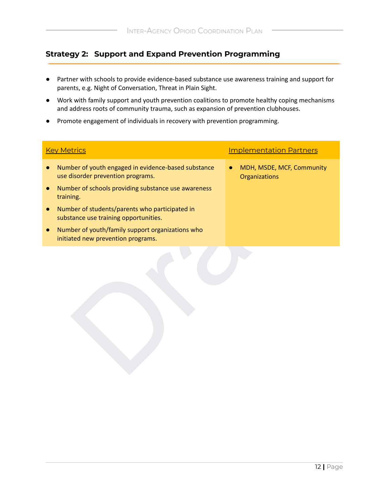### **Strategy 2: Support and Expand Prevention Programming**

- Partner with schools to provide evidence-based substance use awareness training and support for parents, e.g. Night of Conversation, Threat in Plain Sight.
- Work with family support and youth prevention coalitions to promote healthy coping mechanisms and address roots of community trauma, such as expansion of prevention clubhouses.
- Promote engagement of individuals in recovery with prevention programming.

| <b>Key Metrics</b>                                                                       | <b>Implementation Partners</b>             |
|------------------------------------------------------------------------------------------|--------------------------------------------|
| Number of youth engaged in evidence-based substance<br>use disorder prevention programs. | MDH, MSDE, MCF, Community<br>Organizations |
| Number of schools providing substance use awareness<br>training.                         |                                            |
| Number of students/parents who participated in<br>substance use training opportunities.  |                                            |
| Number of youth/family support organizations who<br>initiated new prevention programs.   |                                            |
|                                                                                          |                                            |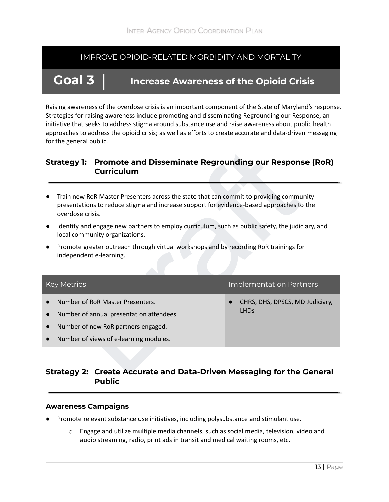# **Goal 3 Increase Awareness of the Opioid Crisis**

Raising awareness of the overdose crisis is an important component of the State of Maryland's response. Strategies for raising awareness include promoting and disseminating Regrounding our Response, an initiative that seeks to address stigma around substance use and raise awareness about public health approaches to address the opioid crisis; as well as efforts to create accurate and data-driven messaging for the general public.

#### **Strategy 1: Promote and Disseminate Regrounding our Response (RoR) Curriculum**

- Train new RoR Master Presenters across the state that can commit to providing community presentations to reduce stigma and increase support for evidence-based approaches to the overdose crisis.
- Identify and engage new partners to employ curriculum, such as public safety, the judiciary, and local community organizations.
- Promote greater outreach through virtual workshops and by recording RoR trainings for independent e-learning.

| <b>Promote and Disseminate Regrounding our Response (RoR)</b><br><b>Strategy 1:</b><br><b>Curriculum</b>                                                                                                |                                                           |  |  |  |
|---------------------------------------------------------------------------------------------------------------------------------------------------------------------------------------------------------|-----------------------------------------------------------|--|--|--|
| Train new RoR Master Presenters across the state that can commit to providing community<br>presentations to reduce stigma and increase support for evidence-based approaches to the<br>overdose crisis. |                                                           |  |  |  |
| Identify and engage new partners to employ curriculum, such as public safety, the judiciary, and<br>local community organizations.                                                                      |                                                           |  |  |  |
| Promote greater outreach through virtual workshops and by recording RoR trainings for<br>$\bullet$<br>independent e-learning.                                                                           |                                                           |  |  |  |
| <b>Key Metrics</b>                                                                                                                                                                                      | <b>Implementation Partners</b>                            |  |  |  |
| Number of RoR Master Presenters.<br>Number of annual presentation attendees.<br>$\bullet$<br>Number of new RoR partners engaged.<br>$\bullet$<br>Number of views of e-learning modules.                 | CHRS, DHS, DPSCS, MD Judiciary,<br><b>LHD<sub>S</sub></b> |  |  |  |
| Strategy 2: Create Accurate and Data-Driven Messaging for the General                                                                                                                                   |                                                           |  |  |  |

#### **Strategy 2: Create Accurate and Data-Driven Messaging for the General Public**

#### **Awareness Campaigns**

- Promote relevant substance use initiatives, including polysubstance and stimulant use.
	- $\circ$  Engage and utilize multiple media channels, such as social media, television, video and audio streaming, radio, print ads in transit and medical waiting rooms, etc.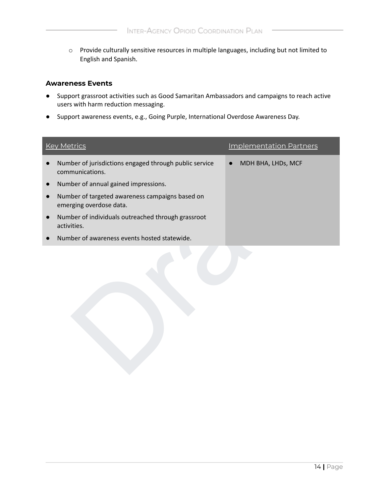o Provide culturally sensitive resources in multiple languages, including but not limited to English and Spanish.

#### **Awareness Events**

- Support grassroot activities such as Good Samaritan Ambassadors and campaigns to reach active users with harm reduction messaging.
- Support awareness events, e.g., Going Purple, International Overdose Awareness Day.

|           | <b>Key Metrics</b>                                                         | <b>Implementation Partners</b> |
|-----------|----------------------------------------------------------------------------|--------------------------------|
|           | Number of jurisdictions engaged through public service<br>communications.  | MDH BHA, LHDs, MCF             |
|           | Number of annual gained impressions.                                       |                                |
|           | Number of targeted awareness campaigns based on<br>emerging overdose data. |                                |
| $\bullet$ | Number of individuals outreached through grassroot<br>activities.          |                                |
|           | Number of awareness events hosted statewide.                               |                                |
|           |                                                                            |                                |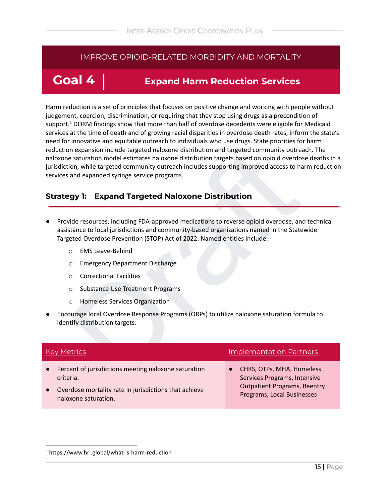# **Goal 4 Expand Harm Reduction Services**

n expansion include targeted naloxone distribution and targeted community outreach. The staturation model estimates naloxone distribution targets based on opioid overdose deat<br>
and expanded syringe service programs.<br> **gy 1** Harm reduction is a set of principles that focuses on positive change and working with people without judgement, coercion, discrimination, or requiring that they stop using drugs as a precondition of support.<sup>1</sup> DORM findings show that more than half of overdose decedents were eligible for Medicaid services at the time of death and of growing racial disparities in overdose death rates, inform the state's need for innovative and equitable outreach to individuals who use drugs. State priorities for harm reduction expansion include targeted naloxone distribution and targeted community outreach. The naloxone saturation model estimates naloxone distribution targets based on opioid overdose deaths in a jurisdiction, while targeted community outreach includes supporting improved access to harm reduction services and expanded syringe service programs.

#### **Strategy 1: Expand Targeted Naloxone Distribution**

- Provide resources, including FDA-approved medications to reverse opioid overdose, and technical assistance to local jurisdictions and community-based organizations named in the Statewide Targeted Overdose Prevention (STOP) Act of 2022. Named entities include:
	- o EMS Leave-Behind
	- o Emergency Department Discharge
	- o Correctional Facilities
	- o Substance Use Treatment Programs
	- o Homeless Services Organization
- Encourage local Overdose Response Programs (ORPs) to utilize naloxone saturation formula to identify distribution targets.

|           | <b>Key Metrics</b>                                                            | <b>Implementation Partners</b>                                    |
|-----------|-------------------------------------------------------------------------------|-------------------------------------------------------------------|
| $\bullet$ | Percent of jurisdictions meeting naloxone saturation<br>criteria.             | CHRS, OTPs, MHA, Homeless<br>Services Programs, Intensive         |
|           | Overdose mortality rate in jurisdictions that achieve<br>naloxone saturation. | <b>Outpatient Programs, Reentry</b><br>Programs, Local Businesses |

<sup>1</sup> https://www.hri.global/what-is-harm-reduction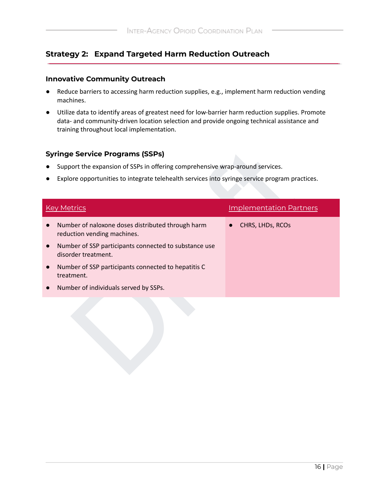### **Strategy 2: Expand Targeted Harm Reduction Outreach**

#### **Innovative Community Outreach**

- Reduce barriers to accessing harm reduction supplies, e.g., implement harm reduction vending machines.
- Utilize data to identify areas of greatest need for low-barrier harm reduction supplies. Promote data- and community-driven location selection and provide ongoing technical assistance and training throughout local implementation.

#### **Syringe Service Programs (SSPs)**

- Support the expansion of SSPs in offering comprehensive wrap-around services.
- Explore opportunities to integrate telehealth services into syringe service program practices.

| <b>Syringe Service Programs (SSPs)</b><br>Support the expansion of SSPs in offering comprehensive wrap-around services.<br>Explore opportunities to integrate telehealth services into syringe service program practices. |                                                                                  |  |                                |  |
|---------------------------------------------------------------------------------------------------------------------------------------------------------------------------------------------------------------------------|----------------------------------------------------------------------------------|--|--------------------------------|--|
|                                                                                                                                                                                                                           | <b>Key Metrics</b>                                                               |  | <b>Implementation Partners</b> |  |
|                                                                                                                                                                                                                           | Number of naloxone doses distributed through harm<br>reduction vending machines. |  | CHRS, LHDs, RCOs               |  |
|                                                                                                                                                                                                                           | Number of SSP participants connected to substance use<br>disorder treatment.     |  |                                |  |
|                                                                                                                                                                                                                           | Number of SSP participants connected to hepatitis C<br>treatment.                |  |                                |  |
|                                                                                                                                                                                                                           | Number of individuals served by SSPs.                                            |  |                                |  |
|                                                                                                                                                                                                                           |                                                                                  |  |                                |  |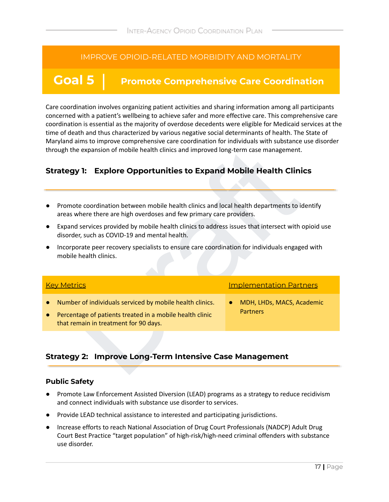# **Goal 5 Promote Comprehensive Care Coordination**

Care coordination involves organizing patient activities and sharing information among all participants concerned with a patient's wellbeing to achieve safer and more effective care. This comprehensive care coordination is essential as the majority of overdose decedents were eligible for Medicaid services at the time of death and thus characterized by various negative social determinants of health. The State of Maryland aims to improve comprehensive care coordination for individuals with substance use disorder through the expansion of mobile health clinics and improved long-term case management.

### **Strategy 1: Explore Opportunities to Expand Mobile Health Clinics**

- Promote coordination between mobile health clinics and local health departments to identify areas where there are high overdoses and few primary care providers.
- Expand services provided by mobile health clinics to address issues that intersect with opioid use disorder, such as COVID-19 and mental health.
- Incorporate peer recovery specialists to ensure care coordination for individuals engaged with mobile health clinics.

| through the expansion of mobile health clinics and improved long-term case management.                                                                                     |                                              |  |  |
|----------------------------------------------------------------------------------------------------------------------------------------------------------------------------|----------------------------------------------|--|--|
| <b>Explore Opportunities to Expand Mobile Health Clinics</b><br>Strategy 1:                                                                                                |                                              |  |  |
| Promote coordination between mobile health clinics and local health departments to identify<br>areas where there are high overdoses and few primary care providers.        |                                              |  |  |
| Expand services provided by mobile health clinics to address issues that intersect with opioid use<br>$\bullet$<br>disorder, such as COVID-19 and mental health.           |                                              |  |  |
| Incorporate peer recovery specialists to ensure care coordination for individuals engaged with<br>mobile health clinics.                                                   |                                              |  |  |
| <b>Key Metrics</b>                                                                                                                                                         | <b>Implementation Partners</b>               |  |  |
| Number of individuals serviced by mobile health clinics.<br>Percentage of patients treated in a mobile health clinic<br>$\bullet$<br>that remain in treatment for 90 days. | MDH, LHDs, MACS, Academic<br><b>Partners</b> |  |  |
| <b>Strategy 2: Improve Long-Term Intensive Case Management</b>                                                                                                             |                                              |  |  |
|                                                                                                                                                                            |                                              |  |  |

#### **Strategy 2: Improve Long-Term Intensive Case Management**

#### **Public Safety**

- Promote Law Enforcement Assisted Diversion (LEAD) programs as a strategy to reduce recidivism and connect individuals with substance use disorder to services.
- Provide LEAD technical assistance to interested and participating jurisdictions.
- Increase efforts to reach National Association of Drug Court Professionals (NADCP) Adult Drug Court Best Practice "target population" of high-risk/high-need criminal offenders with substance use disorder.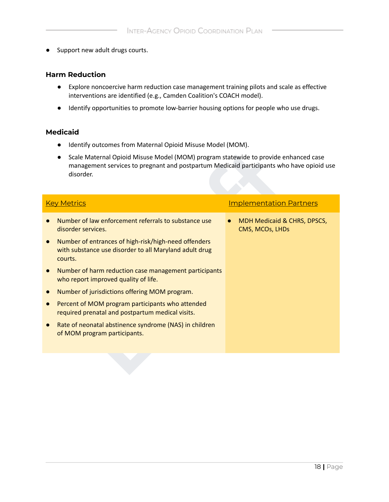**●** Support new adult drugs courts.

#### **Harm Reduction**

- Explore noncoercive harm reduction case management training pilots and scale as effective interventions are identified (e.g., Camden Coalition's COACH model).
- Identify opportunities to promote low-barrier housing options for people who use drugs.

#### **Medicaid**

- Identify outcomes from Maternal Opioid Misuse Model (MOM).
- Scale Maternal Opioid Misuse Model (MOM) program statewide to provide enhanced case management services to pregnant and postpartum Medicaid participants who have opioid use disorder.

| <u>tuefitify outcomes from ividiental Opiolu iviisuse iviouel (MOIVI).</u>                                                                                                                   |                                                |  |  |
|----------------------------------------------------------------------------------------------------------------------------------------------------------------------------------------------|------------------------------------------------|--|--|
| Scale Maternal Opioid Misuse Model (MOM) program statewide to provide enhanced case<br>management services to pregnant and postpartum Medicaid participants who have opioid use<br>disorder. |                                                |  |  |
| <b>Key Metrics</b>                                                                                                                                                                           | <b>Implementation Partners</b>                 |  |  |
| Number of law enforcement referrals to substance use<br>disorder services.                                                                                                                   | MDH Medicaid & CHRS, DPSCS,<br>CMS, MCOs, LHDs |  |  |
| Number of entrances of high-risk/high-need offenders<br>with substance use disorder to all Maryland adult drug<br>courts.                                                                    |                                                |  |  |
| Number of harm reduction case management participants<br>who report improved quality of life.                                                                                                |                                                |  |  |
| Number of jurisdictions offering MOM program.                                                                                                                                                |                                                |  |  |
| Percent of MOM program participants who attended<br>required prenatal and postpartum medical visits.                                                                                         |                                                |  |  |
| Rate of neonatal abstinence syndrome (NAS) in children<br>of MOM program participants.                                                                                                       |                                                |  |  |
|                                                                                                                                                                                              |                                                |  |  |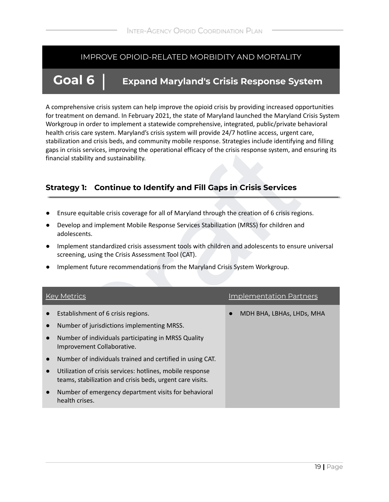# **Goal 6 Expand Maryland's Crisis Response System**

A comprehensive crisis system can help improve the opioid crisis by providing increased opportunities for treatment on demand. In February 2021, the state of Maryland launched the Maryland Crisis System Workgroup in order to implement a statewide comprehensive, integrated, public/private behavioral health crisis care system. Maryland's crisis system will provide 24/7 hotline access, urgent care, stabilization and crisis beds, and community mobile response. Strategies include identifying and filling gaps in crisis services, improving the operational efficacy of the crisis response system, and ensuring its financial stability and sustainability.

### **Strategy 1: Continue to Identify and Fill Gaps in Crisis Services**

- Ensure equitable crisis coverage for all of Maryland through the creation of 6 crisis regions.
- Develop and implement Mobile Response Services Stabilization (MRSS) for children and adolescents.
- Implement standardized crisis assessment tools with children and adolescents to ensure universal screening, using the Crisis Assessment Tool (CAT).
- Implement future recommendations from the Maryland Crisis System Workgroup.

|           | gaps in crisis services, improving the operational efficacy of the crisis response system, and ensuring its<br>financial stability and sustainability. |                                |  |
|-----------|--------------------------------------------------------------------------------------------------------------------------------------------------------|--------------------------------|--|
|           | <b>Continue to Identify and Fill Gaps in Crisis Services</b><br><b>Strategy 1:</b>                                                                     |                                |  |
|           | Ensure equitable crisis coverage for all of Maryland through the creation of 6 crisis regions.                                                         |                                |  |
|           | Develop and implement Mobile Response Services Stabilization (MRSS) for children and<br>adolescents.                                                   |                                |  |
|           | Implement standardized crisis assessment tools with children and adolescents to ensure universal<br>screening, using the Crisis Assessment Tool (CAT). |                                |  |
|           | Implement future recommendations from the Maryland Crisis System Workgroup.                                                                            |                                |  |
|           |                                                                                                                                                        |                                |  |
|           | <b>Key Metrics</b>                                                                                                                                     | <b>Implementation Partners</b> |  |
|           | Establishment of 6 crisis regions.                                                                                                                     | MDH BHA, LBHAs, LHDs, MHA      |  |
|           | Number of jurisdictions implementing MRSS.                                                                                                             |                                |  |
| $\bullet$ | Number of individuals participating in MRSS Quality<br>Improvement Collaborative.                                                                      |                                |  |
|           | Number of individuals trained and certified in using CAT.                                                                                              |                                |  |
| $\bullet$ | Utilization of crisis services: hotlines, mobile response<br>teams, stabilization and crisis beds, urgent care visits.                                 |                                |  |
|           | Number of emergency department visits for behavioral<br>health crises.                                                                                 |                                |  |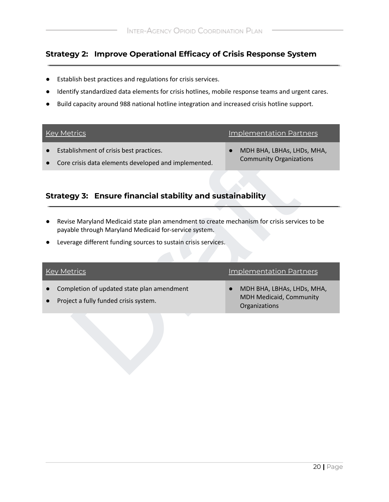### **Strategy 2: Improve Operational Efficacy of Crisis Response System**

- Establish best practices and regulations for crisis services.
- Identify standardized data elements for crisis hotlines, mobile response teams and urgent cares.
- Build capacity around 988 national hotline integration and increased crisis hotline support.

|           | <b>Key Metrics</b>                                                                              | <b>Implementation Partners</b>                               |
|-----------|-------------------------------------------------------------------------------------------------|--------------------------------------------------------------|
| $\bullet$ | Establishment of crisis best practices.<br>Core crisis data elements developed and implemented. | MDH BHA, LBHAs, LHDs, MHA,<br><b>Community Organizations</b> |
|           |                                                                                                 |                                                              |

# **Strategy 3: Ensure financial stability and sustainability**

- Revise Maryland Medicaid state plan amendment to create mechanism for crisis services to be payable through Maryland Medicaid for-service system.
- Leverage different funding sources to sustain crisis services.

| Establishment of crisis best practices.<br>Core crisis data elements developed and implemented.                                                                                                                        | MDH BHA, LBHAs, LHDs, MHA,<br><b>Community Organizations</b>           |  |  |  |
|------------------------------------------------------------------------------------------------------------------------------------------------------------------------------------------------------------------------|------------------------------------------------------------------------|--|--|--|
| Strategy 3: Ensure financial stability and sustainability                                                                                                                                                              |                                                                        |  |  |  |
| Revise Maryland Medicaid state plan amendment to create mechanism for crisis services to be<br>payable through Maryland Medicaid for-service system.<br>Leverage different funding sources to sustain crisis services. |                                                                        |  |  |  |
| <b>Key Metrics</b>                                                                                                                                                                                                     | <b>Implementation Partners</b>                                         |  |  |  |
| Completion of updated state plan amendment<br>Project a fully funded crisis system.                                                                                                                                    | MDH BHA, LBHAs, LHDs, MHA,<br>MDH Medicaid, Community<br>Organizations |  |  |  |
|                                                                                                                                                                                                                        |                                                                        |  |  |  |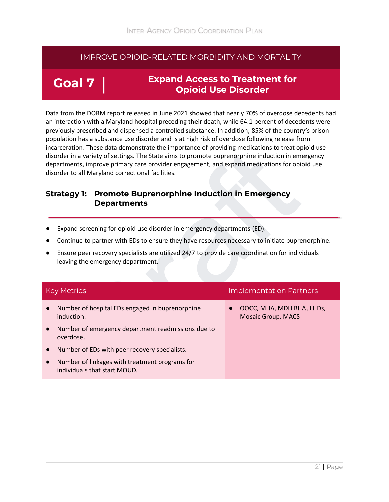# **Goal 7**

### **Expand Access to Treatment for Opioid Use Disorder**

Data from the DORM report released in June 2021 showed that nearly 70% of overdose decedents had an interaction with a Maryland hospital preceding their death, while 64.1 percent of decedents were previously prescribed and dispensed a controlled substance. In addition, 85% of the country's prison population has a substance use disorder and is at high risk of overdose following release from incarceration. These data demonstrate the importance of providing medications to treat opioid use disorder in a variety of settings. The State aims to promote buprenorphine induction in emergency departments, improve primary care provider engagement, and expand medications for opioid use disorder to all Maryland correctional facilities.

#### **Strategy 1: Promote Buprenorphine Induction in Emergency Departments**

- Expand screening for opioid use disorder in emergency departments (ED).
- Continue to partner with EDs to ensure they have resources necessary to initiate buprenorphine.
- Ensure peer recovery specialists are utilized 24/7 to provide care coordination for individuals leaving the emergency department.

| incarceration. These data demonstrate the importance of providing medications to treat opioid use<br>disorder in a variety of settings. The State aims to promote buprenorphine induction in emergency<br>departments, improve primary care provider engagement, and expand medications for opioid use<br>disorder to all Maryland correctional facilities.<br><b>Promote Buprenorphine Induction in Emergency</b><br><b>Strategy 1:</b> |                                                                                |                                                        |  |  |
|------------------------------------------------------------------------------------------------------------------------------------------------------------------------------------------------------------------------------------------------------------------------------------------------------------------------------------------------------------------------------------------------------------------------------------------|--------------------------------------------------------------------------------|--------------------------------------------------------|--|--|
|                                                                                                                                                                                                                                                                                                                                                                                                                                          | <b>Departments</b>                                                             |                                                        |  |  |
| Expand screening for opioid use disorder in emergency departments (ED).<br>Continue to partner with EDs to ensure they have resources necessary to initiate buprenorphine.<br>Ensure peer recovery specialists are utilized 24/7 to provide care coordination for individuals<br>leaving the emergency department.                                                                                                                       |                                                                                |                                                        |  |  |
|                                                                                                                                                                                                                                                                                                                                                                                                                                          | <b>Key Metrics</b>                                                             | <b>Implementation Partners</b>                         |  |  |
|                                                                                                                                                                                                                                                                                                                                                                                                                                          | Number of hospital EDs engaged in buprenorphine<br>induction.                  | OOCC, MHA, MDH BHA, LHDs,<br><b>Mosaic Group, MACS</b> |  |  |
|                                                                                                                                                                                                                                                                                                                                                                                                                                          | Number of emergency department readmissions due to<br>overdose.                |                                                        |  |  |
| $\bullet$                                                                                                                                                                                                                                                                                                                                                                                                                                | Number of EDs with peer recovery specialists.                                  |                                                        |  |  |
| $\bullet$                                                                                                                                                                                                                                                                                                                                                                                                                                | Number of linkages with treatment programs for<br>individuals that start MOUD. |                                                        |  |  |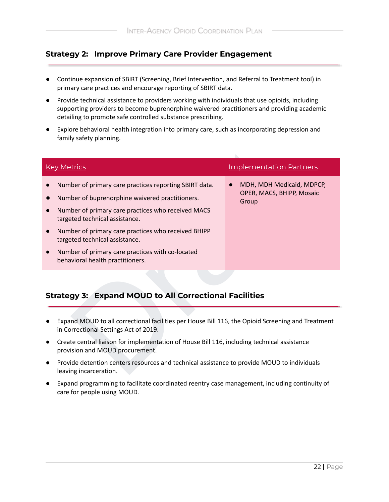### **Strategy 2: Improve Primary Care Provider Engagement**

- Continue expansion of SBIRT (Screening, Brief Intervention, and Referral to Treatment tool) in primary care practices and encourage reporting of SBIRT data.
- Provide technical assistance to providers working with individuals that use opioids, including supporting providers to become buprenorphine waivered practitioners and providing academic detailing to promote safe controlled substance prescribing.
- Explore behavioral health integration into primary care, such as incorporating depression and family safety planning.

| <b>Key Metrics</b>                                                                                                                                                                                                                                                                                                                                                                 | <b>Implementation Partners</b>                                                              |  |
|------------------------------------------------------------------------------------------------------------------------------------------------------------------------------------------------------------------------------------------------------------------------------------------------------------------------------------------------------------------------------------|---------------------------------------------------------------------------------------------|--|
| Number of primary care practices reporting SBIRT data.<br>Number of buprenorphine waivered practitioners.<br>Number of primary care practices who received MACS<br>targeted technical assistance.<br>Number of primary care practices who received BHIPP<br>targeted technical assistance.<br>Number of primary care practices with co-located<br>behavioral health practitioners. | MDH, MDH Medicaid, MDPCP,<br>OPER, MACS, BHIPP, Mosaic<br>Group                             |  |
| <b>Strategy 3: Expand MOUD to All Correctional Facilities</b><br>Expand MOUD to all correctional facilities per House Bill 116, the Opioid Screening and Treatment<br>in Correctional Settings Act of 2019.                                                                                                                                                                        |                                                                                             |  |
| provision and MOUD procurement.                                                                                                                                                                                                                                                                                                                                                    | Create central liaison for implementation of House Bill 116, including technical assistance |  |
| Provide detention centers resources and technical assistance to provide MOUD to individuals<br>leaving incarceration.                                                                                                                                                                                                                                                              |                                                                                             |  |

#### **Strategy 3: Expand MOUD to All Correctional Facilities**

- Expand MOUD to all correctional facilities per House Bill 116, the Opioid Screening and Treatment in Correctional Settings Act of 2019.
- Create central liaison for implementation of House Bill 116, including technical assistance provision and MOUD procurement.
- Provide detention centers resources and technical assistance to provide MOUD to individuals leaving incarceration.
- Expand programming to facilitate coordinated reentry case management, including continuity of care for people using MOUD.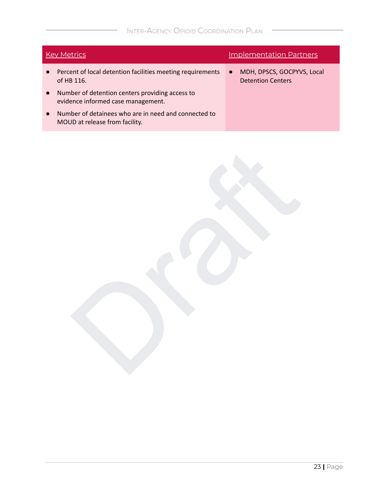| <b>Key Metrics</b>                                                                     | <b>Implementation Partners</b>                                      |  |
|----------------------------------------------------------------------------------------|---------------------------------------------------------------------|--|
| Percent of local detention facilities meeting requirements<br>of HB 116.               | MDH, DPSCS, GOCPYVS, Local<br>$\bullet$<br><b>Detention Centers</b> |  |
| Number of detention centers providing access to<br>evidence informed case management.  |                                                                     |  |
| Number of detainees who are in need and connected to<br>MOUD at release from facility. |                                                                     |  |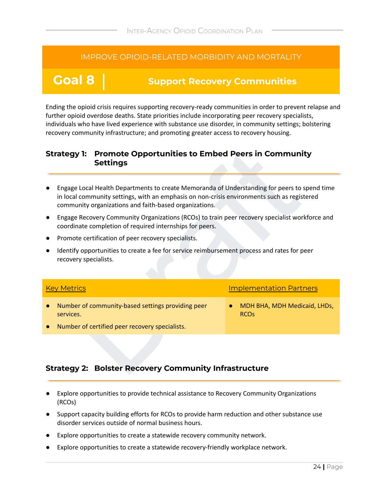# **Goal 8 Support Recovery Communities**

Ending the opioid crisis requires supporting recovery-ready communities in order to prevent relapse and further opioid overdose deaths. State priorities include incorporating peer recovery specialists, individuals who have lived experience with substance use disorder, in community settings; bolstering recovery community infrastructure; and promoting greater access to recovery housing.

#### **Strategy 1: Promote Opportunities to Embed Peers in Community Settings**

- Engage Local Health Departments to create Memoranda of Understanding for peers to spend time in local community settings, with an emphasis on non-crisis environments such as registered community organizations and faith-based organizations.
- Engage Recovery Community Organizations (RCOs) to train peer recovery specialist workforce and coordinate completion of required internships for peers.
- Promote certification of peer recovery specialists.
- Identify opportunities to create a fee for service reimbursement process and rates for peer recovery specialists.

| <b>Promote Opportunities to Embed Peers in Community</b><br><b>Strategy 1:</b><br><b>Settings</b>                                                                                                                                                     |                                                        |  |  |  |
|-------------------------------------------------------------------------------------------------------------------------------------------------------------------------------------------------------------------------------------------------------|--------------------------------------------------------|--|--|--|
| Engage Local Health Departments to create Memoranda of Understanding for peers to spend time<br>in local community settings, with an emphasis on non-crisis environments such as registered<br>community organizations and faith-based organizations. |                                                        |  |  |  |
| Engage Recovery Community Organizations (RCOs) to train peer recovery specialist workforce and<br>coordinate completion of required internships for peers.                                                                                            |                                                        |  |  |  |
| Promote certification of peer recovery specialists.                                                                                                                                                                                                   |                                                        |  |  |  |
| Identify opportunities to create a fee for service reimbursement process and rates for peer<br>recovery specialists.                                                                                                                                  |                                                        |  |  |  |
| <b>Key Metrics</b>                                                                                                                                                                                                                                    | <b>Implementation Partners</b>                         |  |  |  |
| Number of community-based settings providing peer<br>services.<br>Number of certified peer recovery specialists.                                                                                                                                      | MDH BHA, MDH Medicaid, LHDs,<br><b>RCO<sub>s</sub></b> |  |  |  |
| <b>Strategy 2: Bolster Recovery Community Infrastructure</b>                                                                                                                                                                                          |                                                        |  |  |  |

#### **Strategy 2: Bolster Recovery Community Infrastructure**

- Explore opportunities to provide technical assistance to Recovery Community Organizations (RCOs)
- Support capacity building efforts for RCOs to provide harm reduction and other substance use disorder services outside of normal business hours.
- Explore opportunities to create a statewide recovery community network.
- Explore opportunities to create a statewide recovery-friendly workplace network.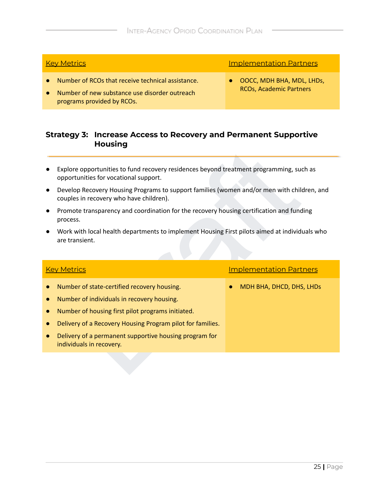- **Number of RCOs that receive technical assistance.**
- Number of new substance use disorder outreach programs provided by RCOs.

**Key Metrics Implementation Partners** 

● OOCC, MDH BHA, MDL, LHDs, RCOs, Academic Partners

#### **Strategy 3: Increase Access to Recovery and Permanent Supportive Housing**

- Explore opportunities to fund recovery residences beyond treatment programming, such as opportunities for vocational support.
- Develop Recovery Housing Programs to support families (women and/or men with children, and couples in recovery who have children).
- Promote transparency and coordination for the recovery housing certification and funding process.
- The example the total recovery residences beyond treatment programming, such as<br>portunities for vocational support.<br>Pleading Programs to support families (women and/or men with children, and<br>position are desine recovery wh ● Work with local health departments to implement Housing First pilots aimed at individuals who are transient.

- Number of state-certified recovery housing.
- Number of individuals in recovery housing.
- Number of housing first pilot programs initiated.
- Delivery of a Recovery Housing Program pilot for families.
- Delivery of a permanent supportive housing program for individuals in recovery.

Key Metrics **Implementation Partners** 

● MDH BHA, DHCD, DHS, LHDs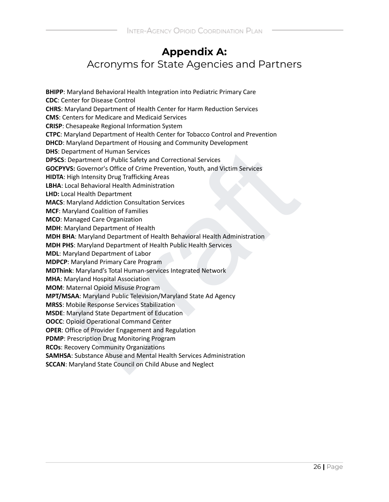# **Appendix A:** Acronyms for State Agencies and Partners

partment of Public Safety and Correctional Services<br>S: Governor's Office of Crime Preventional Services<br>S: Governor's Office of Crime Prevention, Youth, and Victim Services<br>tigh Intensity Drug Trafficking Areas<br>and Behavio **BHIPP**: Maryland Behavioral Health Integration into Pediatric Primary Care **CDC**: Center for Disease Control **CHRS**: Maryland Department of Health Center for Harm Reduction Services **CMS**: Centers for Medicare and Medicaid Services **CRISP**: Chesapeake Regional Information System **CTPC**: Maryland Department of Health Center for Tobacco Control and Prevention **DHCD**: Maryland Department of Housing and Community Development **DHS**: Department of Human Services **DPSCS**: Department of Public Safety and Correctional Services **GOCPYVS:** Governor's Office of Crime Prevention, Youth, and Victim Services **HIDTA**: High Intensity Drug Trafficking Areas **LBHA**: Local Behavioral Health Administration **LHD:** Local Health Department **MACS**: Maryland Addiction Consultation Services **MCF**: Maryland Coalition of Families **MCO**: Managed Care Organization **MDH**: Maryland Department of Health **MDH BHA**: Maryland Department of Health Behavioral Health Administration **MDH PHS**: Maryland Department of Health Public Health Services **MDL**: Maryland Department of Labor **MDPCP**: Maryland Primary Care Program **MDThink**: Maryland's Total Human-services Integrated Network **MHA**: Maryland Hospital Association **MOM**: Maternal Opioid Misuse Program **MPT/MSAA**: Maryland Public Television/Maryland State Ad Agency **MRSS**: Mobile Response Services Stabilization **MSDE**: Maryland State Department of Education **OOCC**: Opioid Operational Command Center **OPER**: Office of Provider Engagement and Regulation **PDMP**: Prescription Drug Monitoring Program **RCOs**: Recovery Community Organizations **SAMHSA**: Substance Abuse and Mental Health Services Administration **SCCAN**: Maryland State Council on Child Abuse and Neglect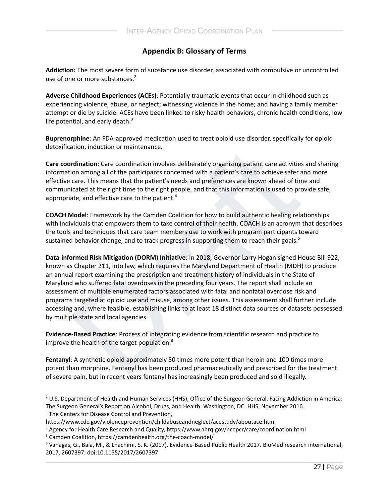#### **Appendix B: Glossary of Terms**

**Addiction:** The most severe form of substance use disorder, associated with compulsive or uncontrolled use of one or more substances. 2

**Adverse Childhood Experiences (ACEs)**: Potentially traumatic events that occur in childhood such as experiencing violence, abuse, or neglect; witnessing violence in the home; and having a family member attempt or die by suicide. ACEs have been linked to risky health behaviors, chronic health conditions, low life potential, and early death.<sup>3</sup>

**Buprenorphine**: An FDA-approved medication used to treat opioid use disorder, specifically for opioid detoxification, induction or maintenance.

**Care coordination**: Care coordination involves deliberately organizing patient care activities and sharing information among all of the participants concerned with a patient's care to achieve safer and more effective care. This means that the patient's needs and preferences are known ahead of time and communicated at the right time to the right people, and that this information is used to provide safe, appropriate, and effective care to the patient.<sup>4</sup>

**COACH Model**: Framework by the Camden Coalition for how to build authentic healing relationships with individuals that empowers them to take control of their health. COACH is an acronym that describes the tools and techniques that care team members use to work with program participants toward sustained behavior change, and to track progress in supporting them to reach their goals.<sup>5</sup>

ation, induction or maintenance.<br>
ordination: Care coordination involves deliberately organizing patient care activities and sincosion among all of the participants concerned with a patient's care to achieve safer and moon **Data-informed Risk Mitigation (DORM) Initiative**: In 2018, Governor Larry Hogan signed House Bill 922, known as Chapter 211, into law, which requires the Maryland Department of Health (MDH) to produce an annual report examining the prescription and treatment history of individuals in the State of Maryland who suffered fatal overdoses in the preceding four years. The report shall include an assessment of multiple enumerated factors associated with fatal and nonfatal overdose risk and programs targeted at opioid use and misuse, among other issues. This assessment shall further include accessing and, where feasible, establishing links to at least 18 distinct data sources or datasets possessed by multiple state and local agencies.

**Evidence-Based Practice**: Process of integrating evidence from scientific research and practice to improve the health of the target population. 6

**Fentanyl**: A synthetic opioid approximately 50 times more potent than heroin and 100 times more potent than morphine. Fentanyl has been produced pharmaceutically and prescribed for the treatment of severe pain, but in recent years fentanyl has increasingly been produced and sold illegally.

<sup>&</sup>lt;sup>2</sup> U.S. Department of Health and Human Services (HHS), Office of the Surgeon General, Facing Addiction in America: The Surgeon General's Report on Alcohol, Drugs, and Health. Washington, DC: HHS, November 2016.

<sup>&</sup>lt;sup>3</sup> The Centers for Disease Control and Prevention,

https://www.cdc.gov/violenceprevention/childabuseandneglect/acestudy/aboutace.html

<sup>4</sup> Agency for Health Care Research and Quality, https://www.ahrq.gov/ncepcr/care/coordination.html

<sup>5</sup> Camden Coalition, https://camdenhealth.org/the-coach-model/

<sup>6</sup> Vanagas, G., Bala, M., & Lhachimi, S. K. (2017). Evidence-Based Public Health 2017. BioMed research international, 2017, 2607397. doi:10.1155/2017/2607397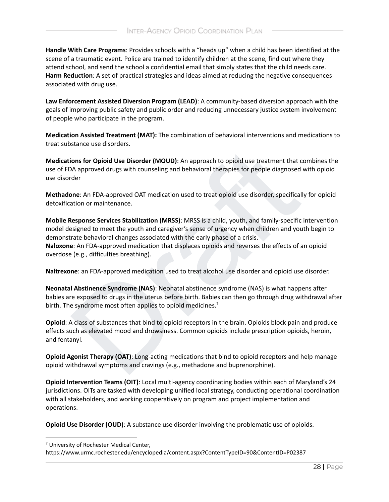**Handle With Care Programs**: Provides schools with a "heads up" when a child has been identified at the scene of a traumatic event. Police are trained to identify children at the scene, find out where they attend school, and send the school a confidential email that simply states that the child needs care. **Harm Reduction**: A set of practical strategies and ideas aimed at reducing the negative consequences associated with drug use.

**Law Enforcement Assisted Diversion Program (LEAD)**: A community-based diversion approach with the goals of improving public safety and public order and reducing unnecessary justice system involvement of people who participate in the program.

**Medication Assisted Treatment (MAT):** The combination of behavioral interventions and medications to treat substance use disorders.

**Medications for Opioid Use Disorder (MOUD)**: An approach to opioid use treatment that combines the use of FDA approved drugs with counseling and behavioral therapies for people diagnosed with opioid use disorder

**Methadone**: An FDA-approved OAT medication used to treat opioid use disorder, specifically for opioid detoxification or maintenance.

ions for Opioid Use Disorder (MOUD): An approach to opioid use treatment that combinents of Opioid Use Disorder (MOUD): An approach to opioid use treatment that combine<br>An approved drugs with counseling and behavioral ther **Mobile Response Services Stabilization (MRSS)**: MRSS is a child, youth, and family-specific intervention model designed to meet the youth and caregiver's sense of urgency when children and youth begin to demonstrate behavioral changes associated with the early phase of a crisis. **Naloxone**: An FDA-approved medication that displaces opioids and reverses the effects of an opioid overdose (e.g., difficulties breathing).

**Naltrexone**: an FDA-approved medication used to treat alcohol use disorder and opioid use disorder.

**Neonatal Abstinence Syndrome (NAS)**: Neonatal abstinence syndrome (NAS) is what happens after babies are exposed to drugs in the uterus before birth. Babies can then go through drug withdrawal after birth. The syndrome most often applies to opioid medicines.<sup>7</sup>

**Opioid**: A class of substances that bind to opioid receptors in the brain. Opioids block pain and produce effects such as elevated mood and drowsiness. Common opioids include prescription opioids, heroin, and fentanyl.

**Opioid Agonist Therapy (OAT)**: Long-acting medications that bind to opioid receptors and help manage opioid withdrawal symptoms and cravings (e.g., methadone and buprenorphine).

**Opioid Intervention Teams (OIT)**: Local multi-agency coordinating bodies within each of Maryland's 24 jurisdictions. OITs are tasked with developing unified local strategy, conducting operational coordination with all stakeholders, and working cooperatively on program and project implementation and operations.

**Opioid Use Disorder (OUD)**: A substance use disorder involving the problematic use of opioids.

<sup>7</sup> University of Rochester Medical Center,

https://www.urmc.rochester.edu/encyclopedia/content.aspx?ContentTypeID=90&ContentID=P02387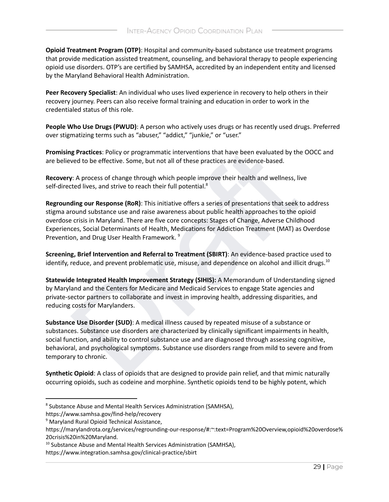**Opioid Treatment Program (OTP)**: Hospital and community-based substance use treatment programs that provide medication assisted treatment, counseling, and behavioral therapy to people experiencing opioid use disorders. OTP's are certified by SAMHSA, accredited by an independent entity and licensed by the Maryland Behavioral Health Administration.

**Peer Recovery Specialist**: An individual who uses lived experience in recovery to help others in their recovery journey. Peers can also receive formal training and education in order to work in the credentialed status of this role.

**People Who Use Drugs (PWUD)**: A person who actively uses drugs or has recently used drugs. Preferred over stigmatizing terms such as "abuser," "addict," "junkie," or "user."

**Promising Practices**: Policy or programmatic interventions that have been evaluated by the OOCC and are believed to be effective. Some, but not all of these practices are evidence-based.

**Recovery**: A process of change through which people improve their health and wellness, live self-directed lives, and strive to reach their full potential.<sup>8</sup>

**ng Practices:** Policy or programmatic interventions that have been evaluated by the OOCC<br>ved to be effective. Some, but not all of these practices are evidence-based.<br>
y: A process of change through which people improve t **Regrounding our Response (RoR)**: This initiative offers a series of presentations that seek to address stigma around substance use and raise awareness about public health approaches to the opioid overdose crisis in Maryland. There are five core concepts: Stages of Change, Adverse Childhood Experiences, Social Determinants of Health, Medications for Addiction Treatment (MAT) as Overdose Prevention, and Drug User Health Framework.<sup>9</sup>

**Screening, Brief Intervention and Referral to Treatment (SBIRT)**: An evidence-based practice used to identify, reduce, and prevent problematic use, misuse, and dependence on alcohol and illicit drugs.<sup>10</sup>

**Statewide Integrated Health Improvement Strategy (SIHIS):** A Memorandum of Understanding signed by Maryland and the Centers for Medicare and Medicaid Services to engage State agencies and private-sector partners to collaborate and invest in improving health, addressing disparities, and reducing costs for Marylanders.

**Substance Use Disorder (SUD)**: A medical illness caused by repeated misuse of a substance or substances. Substance use disorders are characterized by clinically significant impairments in health, social function, and ability to control substance use and are diagnosed through assessing cognitive, behavioral, and psychological symptoms. Substance use disorders range from mild to severe and from temporary to chronic.

**Synthetic Opioid**: A class of opioids that are designed to provide pain relief, and that mimic naturally occurring opioids, such as codeine and morphine. Synthetic opioids tend to be highly potent, which

<sup>8</sup> Substance Abuse and Mental Health Services Administration (SAMHSA),

https://www.samhsa.gov/find-help/recovery

<sup>&</sup>lt;sup>9</sup> Maryland Rural Opioid Technical Assistance,

https://marylandrota.org/services/regrounding-our-response/#:~:text=Program%20Overview,opioid%20overdose% 20crisis%20in%20Maryland.

<sup>&</sup>lt;sup>10</sup> Substance Abuse and Mental Health Services Administration (SAMHSA),

https://www.integration.samhsa.gov/clinical-practice/sbirt